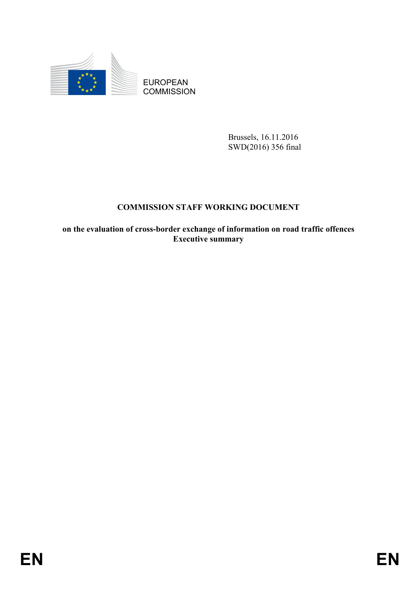

EUROPEAN **COMMISSION** 

> Brussels, 16.11.2016 SWD(2016) 356 final

## **COMMISSION STAFF WORKING DOCUMENT**

**on the evaluation of cross-border exchange of information on road traffic offences Executive summary**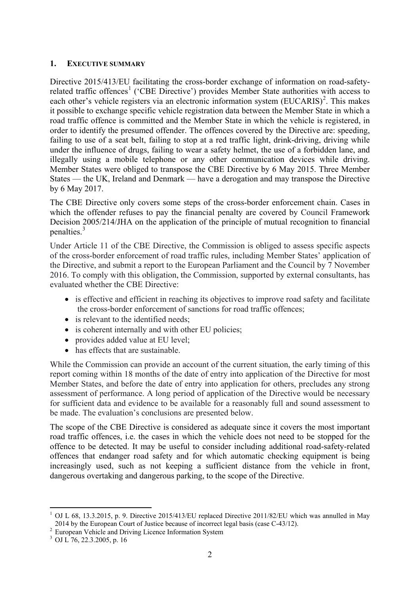## **1. EXECUTIVE SUMMARY**

Directive 2015/413/EU facilitating the cross-border exchange of information on road-safety-related traffic offences<sup>[1](#page-1-0)</sup> ('CBE Directive') provides Member State authorities with access to each other's vehicle registers via an electronic information system (EUCARIS)<sup>[2](#page-1-1)</sup>. This makes it possible to exchange specific vehicle registration data between the Member State in which a road traffic offence is committed and the Member State in which the vehicle is registered, in order to identify the presumed offender. The offences covered by the Directive are: speeding, failing to use of a seat belt, failing to stop at a red traffic light, drink-driving, driving while under the influence of drugs, failing to wear a safety helmet, the use of a forbidden lane, and illegally using a mobile telephone or any other communication devices while driving. Member States were obliged to transpose the CBE Directive by 6 May 2015. Three Member States — the UK, Ireland and Denmark — have a derogation and may transpose the Directive by 6 May 2017.

The CBE Directive only covers some steps of the cross-border enforcement chain. Cases in which the offender refuses to pay the financial penalty are covered by Council Framework Decision 2005/214/JHA on the application of the principle of mutual recognition to financial penalties.<sup>[3](#page-1-2)</sup>

Under Article 11 of the CBE Directive, the Commission is obliged to assess specific aspects of the cross-border enforcement of road traffic rules, including Member States' application of the Directive, and submit a report to the European Parliament and the Council by 7 November 2016. To comply with this obligation, the Commission, supported by external consultants, has evaluated whether the CBE Directive:

- is effective and efficient in reaching its objectives to improve road safety and facilitate the cross-border enforcement of sanctions for road traffic offences;
- is relevant to the identified needs:
- is coherent internally and with other EU policies;
- provides added value at EU level;
- has effects that are sustainable.

While the Commission can provide an account of the current situation, the early timing of this report coming within 18 months of the date of entry into application of the Directive for most Member States, and before the date of entry into application for others, precludes any strong assessment of performance. A long period of application of the Directive would be necessary for sufficient data and evidence to be available for a reasonably full and sound assessment to be made. The evaluation's conclusions are presented below.

The scope of the CBE Directive is considered as adequate since it covers the most important road traffic offences, i.e. the cases in which the vehicle does not need to be stopped for the offence to be detected. It may be useful to consider including additional road-safety-related offences that endanger road safety and for which automatic checking equipment is being increasingly used, such as not keeping a sufficient distance from the vehicle in front, dangerous overtaking and dangerous parking, to the scope of the Directive.

**.** 

<span id="page-1-0"></span> $1$  OJ L 68, 13.3.2015, p. 9. Directive 2015/413/EU replaced Directive 2011/82/EU which was annulled in May 2014 by the European Court of Justice because of incorrect legal basis (case C-43/12).<br><sup>2</sup> European Vehicle and Driving Licence Information System <sup>3</sup> OJ L 76, 22.3.2005, p. 16

<span id="page-1-1"></span>

<span id="page-1-2"></span>